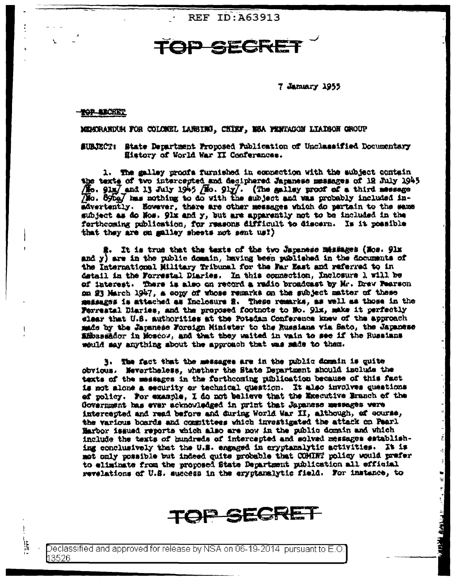**REF ID: A63913** 

## TOP SECRE

7 January 1955

## **TOP BECKET**

挂

MEMORANDUM FOR COLONEL LANSING, CHIEF, MSA PENTAGON LIAISON QROUP

SUBJECT: State Department Froucsed Fublication of Unclassified Documentary History of World War II Conferences.

1. The salley proofs furnished in equasition with the aubject contain the texts of two intercepted and deciphered Japanese messages of 12 July 1945 (No. 91m) and 13 July 1946 (No. 91y). (The galley proof of a third message (No. 89bg) has nothing to do with the subject and was probably included inadvertently. However, there are other messages which do pertain to the same subject as do Nos. 91x and y, but are apparently not to be included in the forthcoming publication, for reasons difficult to discern. Is it possible that they are on galley sheets not sent us?)

i. It is true that the texts of the two Japanese Messiages (Nos. 91x and y) are in the public domain, having been published in the documents of the International Military Tribunal for the Far East and referred to in detail in the Forrestal Diaries. In this ocunection, Inclosure 1 will be of interest. There is also on record a radio broadcast by Mr. Drew Fearson on 23 March 1947, a copy of whose remarks on the subject matter of these messages is attached as Incleaure 2. These remarks, as well as those in the Forrestal Diaries, and the proposed footnote to No. 91x, make it perfectly elear that U.S. authorities at the Potadam Conference knew of the approach made by the Japanese Foreign Minister to the Russians via Sato, the Japanese ambassador in Moscow, and that they waited in vain to see if the Russians would may anything about the approach that was made to them.

3. The fact that the messages are in the public domain is quite obvious. Mevertheless, whether the State Department should include the texts of the messages in the forthcoming publication because of this fact is not alone a security or technical question. It also involves questions ef policy. For example, I do not believe that the Executive Branch of the Government has ever acknowledged in print that Japanese messages vere intercepted and read before and during World War II, although, of course, the various boards and committees which investigated the attack on Pearl Harbor issued reports which also are now in the public domain and which include the texts of hundreds of intercapted and solved messages establishing conclusively that the U.S. engaged in cryptanalytic activities. It is mot only possible but indeed quite probable that COMINT policy would prefer to eliminate from the proposed State Department publication all official revelations of U.S. success in the eryphenalytic field. For instance, to

 $\frac{1}{2}$ 

 $\frac{1}{2}$ 

**CARABLE ATA A ME** 

**TOP SECRET**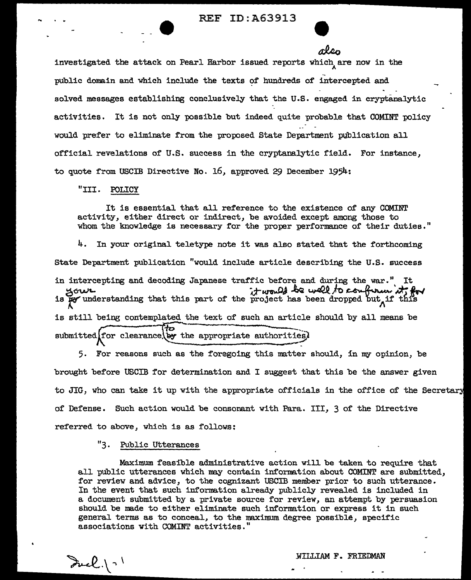$-\alpha$  investigated the attack on Pearl Harbor issued reports which are now in the A public domain and which include the texts of hundreds of intercepted and solved messages establishing conclusively that the U.S. engaged in cryptanalytic activities. It is not only possible but indeed quite probable that COMINT policy would prefer to eliminate from the proposed State Department publication all official revelations of' U.S. success in the cryptanalytic field. For instance, to quote from USCIB Directive No. 16, approved 29 December 1954:

"III. POLICY

--

It is essential that all reference to the existence of any COMINT activity, either direct or indirect, be avoided except among those to whom the knowledge is necessary for the proper performance of their duties."

4. In your original teletype note it was also stated that the forthcoming State Department publication "would include article describing the U.S. success in intercepting and decoding Japanese traffic before and during the war." It ~&Wt- a-~~ ~Jo~'~""' is *ff'* understanding that this part of' the project has been dropped ~ut"if t~is is still being contemplated the text of such an article should by all means be  $submitted$  $for$  clearance. by the appropriate authorities)

5. For reasons such as the foregoing this matter should, in my opinion, be brought before USCIB for determination and I suggest that this be the answer given to JIG, who can take it up with the appropriate officials in the office of the Secret of Defense. Such action would be consonant with Para. III, 3 of the Directive referred to above, which is as follows:

"3. Public Utterances

Maximum feasible administrative action will be taken to require that all public utterances which may contain information about COMINT are submitted, for review and advice, to the cognizant USCIB member prior to such utterance. In the event that such information already publicly revealed is included in a document submitted by a private source for review, an attempt by persuasion should be made to either eliminate such information or express it in such general terms as to conceal, to the maximum degree possible, specif'ic associations with COMINT activities."

WILLIAM F. FRIEDMAN